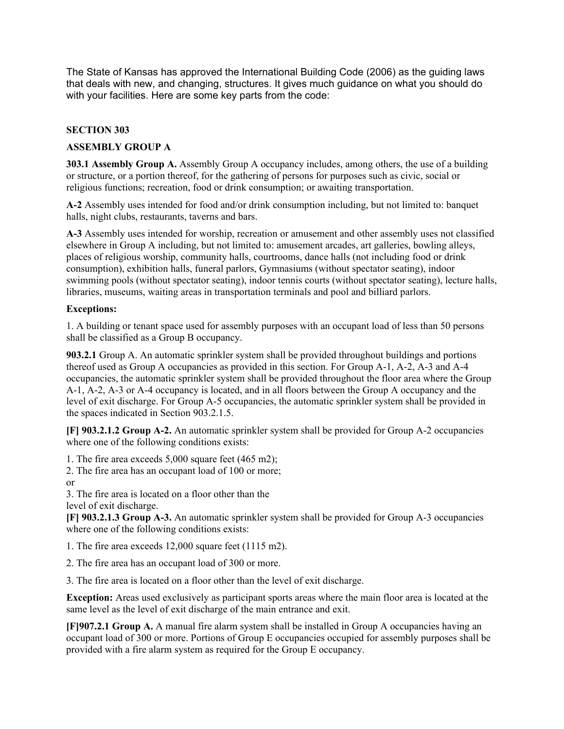The State of Kansas has approved the International Building Code (2006) as the guiding laws that deals with new, and changing, structures. It gives much guidance on what you should do with your facilities. Here are some key parts from the code:

## **SECTION 303**

## **ASSEMBLY GROUP A**

**303.1 Assembly Group A.** Assembly Group A occupancy includes, among others, the use of a building or structure, or a portion thereof, for the gathering of persons for purposes such as civic, social or religious functions; recreation, food or drink consumption; or awaiting transportation.

**A-2** Assembly uses intended for food and/or drink consumption including, but not limited to: banquet halls, night clubs, restaurants, taverns and bars.

**A-3** Assembly uses intended for worship, recreation or amusement and other assembly uses not classified elsewhere in Group A including, but not limited to: amusement arcades, art galleries, bowling alleys, places of religious worship, community halls, courtrooms, dance halls (not including food or drink consumption), exhibition halls, funeral parlors, Gymnasiums (without spectator seating), indoor swimming pools (without spectator seating), indoor tennis courts (without spectator seating), lecture halls, libraries, museums, waiting areas in transportation terminals and pool and billiard parlors.

## **Exceptions:**

1. A building or tenant space used for assembly purposes with an occupant load of less than 50 persons shall be classified as a Group B occupancy.

**903.2.1** Group A. An automatic sprinkler system shall be provided throughout buildings and portions thereof used as Group A occupancies as provided in this section. For Group A-1, A-2, A-3 and A-4 occupancies, the automatic sprinkler system shall be provided throughout the floor area where the Group A-1, A-2, A-3 or A-4 occupancy is located, and in all floors between the Group A occupancy and the level of exit discharge. For Group A-5 occupancies, the automatic sprinkler system shall be provided in the spaces indicated in Section 903.2.1.5.

**[F] 903.2.1.2 Group A-2.** An automatic sprinkler system shall be provided for Group A-2 occupancies where one of the following conditions exists:

1. The fire area exceeds 5,000 square feet (465 m2);

2. The fire area has an occupant load of 100 or more;

or

3. The fire area is located on a floor other than the level of exit discharge.

**[F] 903.2.1.3 Group A-3.** An automatic sprinkler system shall be provided for Group A-3 occupancies where one of the following conditions exists:

1. The fire area exceeds 12,000 square feet (1115 m2).

2. The fire area has an occupant load of 300 or more.

3. The fire area is located on a floor other than the level of exit discharge.

**Exception:** Areas used exclusively as participant sports areas where the main floor area is located at the same level as the level of exit discharge of the main entrance and exit.

**[F]907.2.1 Group A.** A manual fire alarm system shall be installed in Group A occupancies having an occupant load of 300 or more. Portions of Group E occupancies occupied for assembly purposes shall be provided with a fire alarm system as required for the Group E occupancy.